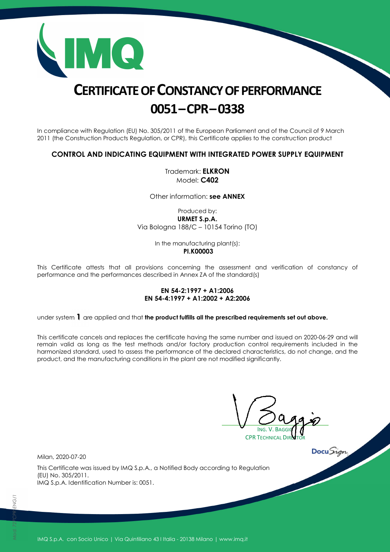

# **CERTIFICATE OF CONSTANCY OF PERFORMANCE 0051–CPR–0338**

In compliance with Regulation (EU) No. 305/2011 of the European Parliament and of the Council of 9 March 2011 (the Construction Products Regulation, or CPR), this Certificate applies to the construction product

### **CONTROL AND INDICATING EQUIPMENT WITH INTEGRATED POWER SUPPLY EQUIPMENT**

Trademark: **ELKRON** Model: **C402** 

Other information: **see ANNEX**

Produced by: **URMET S.p.A.**  Via Bologna 188/C – 10154 Torino (TO)

> In the manufacturing plant(s):  **PI.K00003**

This Certificate attests that all provisions concerning the assessment and verification of constancy of performance and the performances described in Annex ZA of the standard(s)

#### **EN 54-2:1997 + A1:2006 EN 54-4:1997 + A1:2002 + A2:2006**

under system 1 are applied and that the product fulfills all the prescribed requirements set out above.

This certificate cancels and replaces the certificate having the same number and issued on 2020-06-29 and will remain valid as long as the test methods and/or factory production control requirements included in the harmonized standard, used to assess the performance of the declared characteristics, do not change, and the product, and the manufacturing conditions in the plant are not modified significantly.

ING. V. BAGGIO **CPR TECHNICAL DIR** 

Milan, 2020-07-20

This Certificate was issued by IMQ S.p.A., a Notified Body according to Regulation (EU) No. 305/2011. IMQ S.p.A. Identification Number is: 0051.